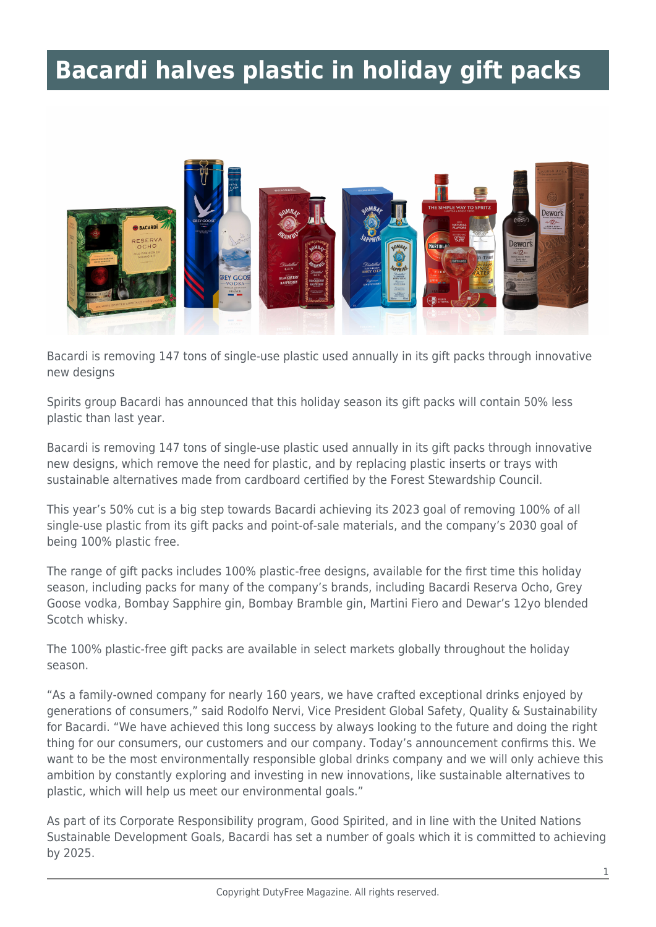## **Bacardi halves plastic in holiday gift packs**



Bacardi is removing 147 tons of single-use plastic used annually in its gift packs through innovative new designs

Spirits group Bacardi has announced that this holiday season its gift packs will contain 50% less plastic than last year.

Bacardi is removing 147 tons of single-use plastic used annually in its gift packs through innovative new designs, which remove the need for plastic, and by replacing plastic inserts or trays with sustainable alternatives made from cardboard certified by the Forest Stewardship Council.

This year's 50% cut is a big step towards Bacardi achieving its 2023 goal of removing 100% of all single-use plastic from its gift packs and point-of-sale materials, and the company's 2030 goal of being 100% plastic free.

The range of gift packs includes 100% plastic-free designs, available for the first time this holiday season, including packs for many of the company's brands, including Bacardi Reserva Ocho, Grey Goose vodka, Bombay Sapphire gin, Bombay Bramble gin, Martini Fiero and Dewar's 12yo blended Scotch whisky.

The 100% plastic-free gift packs are available in select markets globally throughout the holiday season.

"As a family-owned company for nearly 160 years, we have crafted exceptional drinks enjoyed by generations of consumers," said Rodolfo Nervi, Vice President Global Safety, Quality & Sustainability for Bacardi. "We have achieved this long success by always looking to the future and doing the right thing for our consumers, our customers and our company. Today's announcement confirms this. We want to be the most environmentally responsible global drinks company and we will only achieve this ambition by constantly exploring and investing in new innovations, like sustainable alternatives to plastic, which will help us meet our environmental goals."

As part of its Corporate Responsibility program, Good Spirited, and in line with the United Nations Sustainable Development Goals, Bacardi has set a number of goals which it is committed to achieving by 2025.